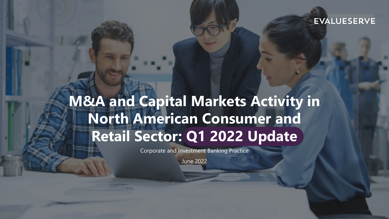#### **EVALUESERVE**

## **M&A and Capital Markets Activity in North American Consumer and Retail Sector: Q1 2022 Update**

Corporate and Investment Banking Practice

June 2022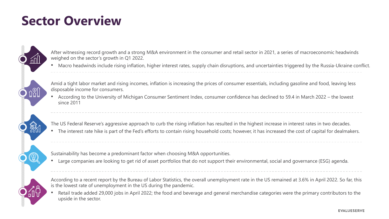### **Sector Overview**

After witnessing record growth and a strong M&A environment in the consumer and retail sector in 2021, a series of macroeconomic headwinds weighed on the sector's growth in Q1 2022.

• Macro headwinds include rising inflation, higher interest rates, supply chain disruptions, and uncertainties triggered by the Russia-Ukraine conflict.

Amid a tight labor market and rising incomes, inflation is increasing the prices of consumer essentials, including gasoline and food, leaving less disposable income for consumers.

• According to the University of Michigan Consumer Sentiment Index, consumer confidence has declined to 59.4 in March 2022 – the lowest since 2011

The US Federal Reserve's aggressive approach to curb the rising inflation has resulted in the highest increase in interest rates in two decades.

• The interest rate hike is part of the Fed's efforts to contain rising household costs; however, it has increased the cost of capital for dealmakers.

Sustainability has become a predominant factor when choosing M&A opportunities.

• Large companies are looking to get rid of asset portfolios that do not support their environmental, social and governance (ESG) agenda.

According to a recent report by the Bureau of Labor Statistics, the overall unemployment rate in the US remained at 3.6% in April 2022. So far, this is the lowest rate of unemployment in the US during the pandemic.

• Retail trade added 29,000 jobs in April 2022; the food and beverage and general merchandise categories were the primary contributors to the upside in the sector.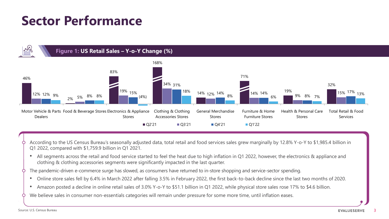### **Sector Performance**



- According to the US Census Bureau's seasonally adjusted data, total retail and food services sales grew marginally by 12.8% Y-o-Y to \$1,985.4 billion in Q1 2022, compared with \$1,759.9 billion in Q1 2021.
- All segments across the retail and food service started to feel the heat due to high inflation in Q1 2022, however, the electronics & appliance and clothing & clothing accessories segments were significantly impacted in the last quarter.
- The pandemic-driven e-commerce surge has slowed, as consumers have returned to in-store shopping and service-sector spending.
	- Online store sales fell by 6.4% in March 2022 after falling 3.5% in February 2022, the first back-to-back decline since the last two months of 2020.
	- Amazon posted a decline in online retail sales of 3.0% Y-o-Y to \$51.1 billion in Q1 2022, while physical store sales rose 17% to \$4.6 billion.
- We believe sales in consumer non-essentials categories will remain under pressure for some more time, until inflation eases.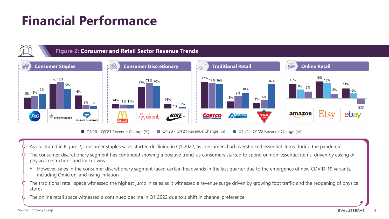### **Financial Performance**



- As illustrated in Figure 2, consumer staples sales started declining in Q1 2022, as consumers had overstocked essential items during the pandemic.
- The consumer discretionary segment has continued showing a positive trend, as consumers started to spend on non-essential items, driven by easing of physical restrictions and lockdowns.
- However, sales in the consumer discretionary segment faced certain headwinds in the last quarter due to the emergence of new COVID-19 variants, including Omicron, and rising inflation
- The traditional retail space witnessed the highest jump in sales as it witnessed a revenue surge driven by growing foot traffic and the reopening of physical stores.
- The online retail space witnessed a continued decline in Q1 2022 due to a shift in channel preference.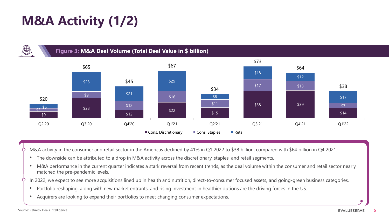### **M&A Activity (1/2)**





M&A activity in the consumer and retail sector in the Americas declined by 41% in Q1 2022 to \$38 billion, compared with \$64 billion in Q4 2021.

- The downside can be attributed to a drop in M&A activity across the discretionary, staples, and retail segments.
- M&A performance in the current quarter indicates a stark reversal from recent trends, as the deal volume within the consumer and retail sector nearly matched the pre-pandemic levels.
- In 2022, we expect to see more acquisitions lined up in health and nutrition, direct-to-consumer focused assets, and going-green business categories.
	- Portfolio reshaping, along with new market entrants, and rising investment in healthier options are the driving forces in the US.
	- Acquirers are looking to expand their portfolios to meet changing consumer expectations.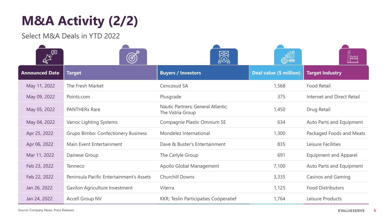### **M&A Activity (2/2)**

Select M&A Deals in YTD 2022

|                       | (හි                                        | <u>මෝ</u><br>යුලාද්                                     |                         | $\sim$                       |
|-----------------------|--------------------------------------------|---------------------------------------------------------|-------------------------|------------------------------|
| <b>Announced Date</b> | <b>Target</b>                              | <b>Buyers / Investors</b>                               | Deal value (\$ million) | <b>Target Industry</b>       |
| May 11, 2022          | The Fresh Market                           | Cencosud SA                                             | 1,568                   | <b>Food Retail</b>           |
| May 09, 2022          | Points.com                                 | Plusgrade                                               | 375                     | Internet and Direct Retail   |
| May 05, 2022          | <b>PANTHERx Rare</b>                       | Nautic Partners; General Atlantic;<br>The Vistria Group | 1,450                   | Drug Retail                  |
| May 04, 2022          | Varroc Lighting Systems                    | Compagnie Plastic Omnium SE                             | 634                     | Auto Parts and Equipment     |
| Apr 25, 2022          | <b>Grupo Bimbo: Confectionery Business</b> | Mondelez International                                  | 1,300                   | Packaged Foods and Meats     |
| Apr 06, 2022          | Main Event Entertainment                   | Dave & Buster's Entertainment                           | 835                     | Leisure Facilities           |
| Mar 11, 2022          | Dainese Group                              | The Carlyle Group                                       | 691                     | <b>Equipment and Apparel</b> |
| Feb 23, 2022          | Tenneco                                    | Apollo Global Management                                | 7,100                   | Auto Parts and Equipment     |
| Feb 22, 2022          | Peninsula Pacific Entertainment's Assets   | <b>Churchill Downs</b>                                  | 3,335                   | <b>Casinos and Gaming</b>    |
| Jan 26, 2022          | Gavilon Agriculture Investment             | Viterra                                                 | 1,125                   | <b>Food Distributors</b>     |
| Jan 24, 2022          | <b>Accell Group NV</b>                     | KKR; Teslin Participaties Coöperatief                   | 1,764                   | Leisure Products             |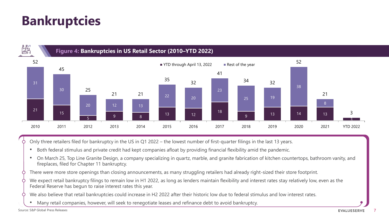### **Bankruptcies**



Only three retailers filed for bankruptcy in the US in Q1 2022 – the lowest number of first-quarter filings in the last 13 years.

- Both federal stimulus and private credit had kept companies afloat by providing financial flexibility amid the pandemic.
- On March 25, Top Line Granite Design, a company specializing in quartz, marble, and granite fabrication of kitchen countertops, bathroom vanity, and fireplaces, filed for Chapter 11 bankruptcy.
- There were more store openings than closing announcements, as many struggling retailers had already right-sized their store footprint.
- We expect retail bankruptcy filings to remain low in H1 2022, as long as lenders maintain flexibility and interest rates stay relatively low, even as the Federal Reserve has begun to raise interest rates this year.
- We also believe that retail bankruptcies could increase in H2 2022 after their historic low due to federal stimulus and low interest rates.
	- Many retail companies, however, will seek to renegotiate leases and refinance debt to avoid bankruptcy.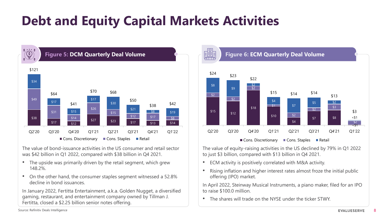### **Debt and Equity Capital Markets Activities**



The value of bond-issuance activities in the US consumer and retail sector was \$42 billion in Q1 2022, compared with \$38 billion in Q4 2021.

- The upside was primarily driven by the retail segment, which grew 148.2%.
- On the other hand, the consumer staples segment witnessed a 52.8% decline in bond issuances.

In January 2022, Fertitta Entertainment, a.k.a. Golden Nugget, a diversified gaming, restaurant, and entertainment company owned by Tillman J. Fertitta, closed a \$2.25 billion senior notes offering.



The value of equity-raising activities in the US declined by 79% in Q1 2022 to just \$3 billion, compared with \$13 billion in Q4 2021.

- ECM activity is positively correlated with M&A activity.
- Rising inflation and higher interest rates almost froze the initial public offering (IPO) market.

In April 2022, Steinway Musical Instruments, a piano maker, filed for an IPO to raise \$100.0 million.

• The shares will trade on the NYSE under the ticker STWY.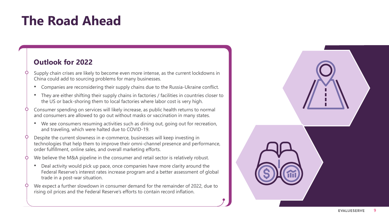### **The Road Ahead**

#### **Outlook for 2022**

- Supply chain crises are likely to become even more intense, as the current lockdowns in China could add to sourcing problems for many businesses.
- Companies are reconsidering their supply chains due to the Russia-Ukraine conflict.
- They are either shifting their supply chains in factories / facilities in countries closer to the US or back-shoring them to local factories where labor cost is very high.
- Consumer spending on services will likely increase, as public health returns to normal and consumers are allowed to go out without masks or vaccination in many states.
	- We see consumers resuming activities such as dining out, going out for recreation, and traveling, which were halted due to COVID-19.
- Despite the current slowness in e-commerce, businesses will keep investing in technologies that help them to improve their omni-channel presence and performance, order fulfillment, online sales, and overall marketing efforts.
- We believe the M&A pipeline in the consumer and retail sector is relatively robust.
	- Deal activity would pick up pace, once companies have more clarity around the Federal Reserve's interest rates increase program and a better assessment of global trade in a post-war situation.
- We expect a further slowdown in consumer demand for the remainder of 2022, due to rising oil prices and the Federal Reserve's efforts to contain record inflation.

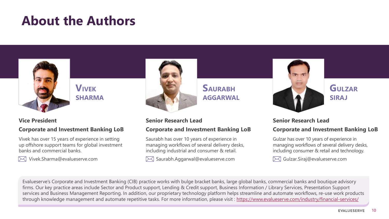### **About the Authors**



#### **VIVEK SHARMA**

#### **Vice President**

#### **Corporate and Investment Banking LoB**

Vivek has over 15 years of experience in setting up offshore support teams for global investment banks and commercial banks.



Vivek.Sharma@evalueserve.com



#### **SAURABH AGGARWAL**

#### **Senior Research Lead Corporate and Investment Banking LoB**

Saurabh has over 10 years of experience in managing workflows of several delivery desks, including industrial and consumer & retail.

Saurabh.Aggarwal@evalueserve.com



#### **GULZAR SIRAJ**

#### **Senior Research Lead Corporate and Investment Banking LoB**

Gulzar has over 10 years of experience in managing workflows of several delivery desks, including consumer & retail and technology.

Gulzar.Siraj@evalueserve.com $\bowtie$ 

Evalueserve's Corporate and Investment Banking (CIB) practice works with bulge bracket banks, large global banks, commercial banks and boutique advisory firms. Our key practice areas include Sector and Product support, Lending & Credit support, Business Information / Library Services, Presentation Support services and Business Management Reporting. In addition, our proprietary technology platform helps streamline and automate workflows, re-use work products through knowledge management and automate repetitive tasks. For more information, please visit : <https://www.evalueserve.com/industry/financial-services/>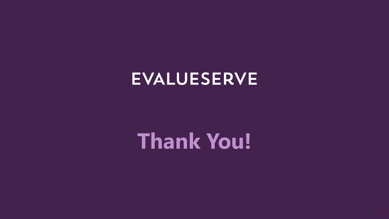# **EVALUESERVE**

# **Thank You!**